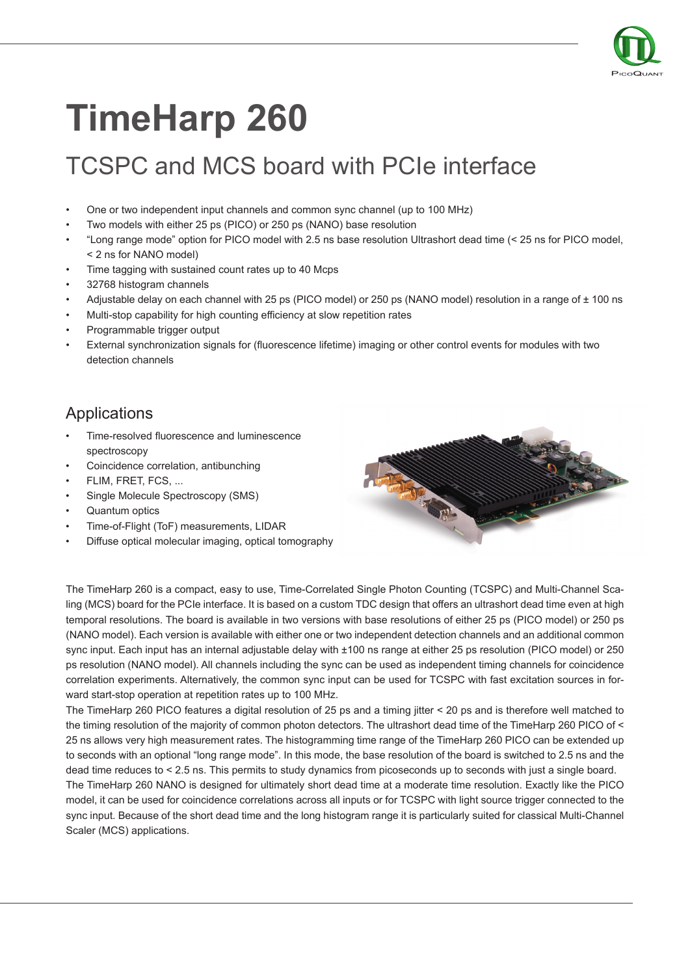

## **TimeHarp 260**

## TCSPC and MCS board with PCIe interface

- One or two independent input channels and common sync channel (up to 100 MHz)
- Two models with either 25 ps (PICO) or 250 ps (NANO) base resolution
- "Long range mode" option for PICO model with 2.5 ns base resolution Ultrashort dead time (< 25 ns for PICO model, < 2 ns for NANO model)
- Time tagging with sustained count rates up to 40 Mcps
- 32768 histogram channels
- Adjustable delay on each channel with 25 ps (PICO model) or 250 ps (NANO model) resolution in a range of  $\pm$  100 ns
- Multi-stop capability for high counting efficiency at slow repetition rates
- Programmable trigger output
- External synchronization signals for (fluorescence lifetime) imaging or other control events for modules with two detection channels

## Applications

- Time-resolved fluorescence and luminescence spectroscopy
- Coincidence correlation, antibunching
- FLIM, FRET, FCS, ...
- Single Molecule Spectroscopy (SMS)
- Quantum optics
- Time-of-Flight (ToF) measurements, LIDAR
- Diffuse optical molecular imaging, optical tomography



The TimeHarp 260 is a compact, easy to use, Time-Correlated Single Photon Counting (TCSPC) and Multi-Channel Scaling (MCS) board for the PCIe interface. It is based on a custom TDC design that offers an ultrashort dead time even at high temporal resolutions. The board is available in two versions with base resolutions of either 25 ps (PICO model) or 250 ps (NANO model). Each version is available with either one or two independent detection channels and an additional common sync input. Each input has an internal adjustable delay with ±100 ns range at either 25 ps resolution (PICO model) or 250 ps resolution (NANO model). All channels including the sync can be used as independent timing channels for coincidence correlation experiments. Alternatively, the common sync input can be used for TCSPC with fast excitation sources in forward start-stop operation at repetition rates up to 100 MHz.

The TimeHarp 260 PICO features a digital resolution of 25 ps and a timing jitter < 20 ps and is therefore well matched to the timing resolution of the majority of common photon detectors. The ultrashort dead time of the TimeHarp 260 PICO of < 25 ns allows very high measurement rates. The histogramming time range of the TimeHarp 260 PICO can be extended up to seconds with an optional "long range mode". In this mode, the base resolution of the board is switched to 2.5 ns and the dead time reduces to < 2.5 ns. This permits to study dynamics from picoseconds up to seconds with just a single board. The TimeHarp 260 NANO is designed for ultimately short dead time at a moderate time resolution. Exactly like the PICO model, it can be used for coincidence correlations across all inputs or for TCSPC with light source trigger connected to the sync input. Because of the short dead time and the long histogram range it is particularly suited for classical Multi-Channel Scaler (MCS) applications.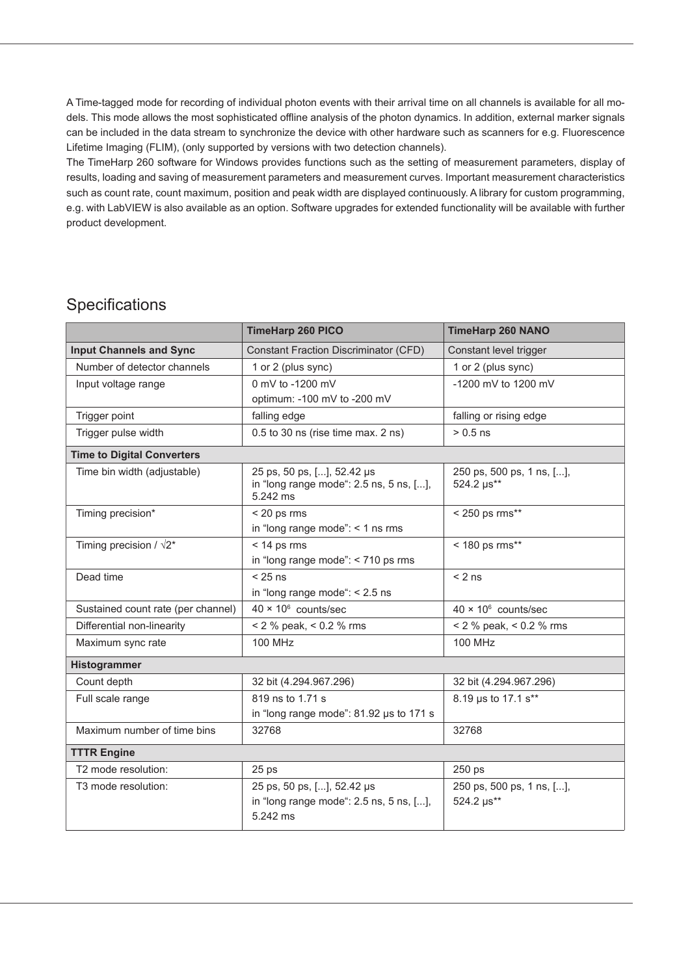A Time-tagged mode for recording of individual photon events with their arrival time on all channels is available for all models. This mode allows the most sophisticated offline analysis of the photon dynamics. In addition, external marker signals can be included in the data stream to synchronize the device with other hardware such as scanners for e.g. Fluorescence Lifetime Imaging (FLIM), (only supported by versions with two detection channels).

The TimeHarp 260 software for Windows provides functions such as the setting of measurement parameters, display of results, loading and saving of measurement parameters and measurement curves. Important measurement characteristics such as count rate, count maximum, position and peak width are displayed continuously. A library for custom programming, e.g. with LabVIEW is also available as an option. Software upgrades for extended functionality will be available with further product development.

## **Specifications**

|                                    | <b>TimeHarp 260 PICO</b>                                                          | <b>TimeHarp 260 NANO</b>                |  |
|------------------------------------|-----------------------------------------------------------------------------------|-----------------------------------------|--|
| <b>Input Channels and Sync</b>     | <b>Constant Fraction Discriminator (CFD)</b>                                      | Constant level trigger                  |  |
| Number of detector channels        | 1 or 2 (plus sync)                                                                | 1 or 2 (plus sync)                      |  |
| Input voltage range                | 0 mV to -1200 mV<br>optimum: -100 mV to -200 mV                                   | -1200 mV to 1200 mV                     |  |
| Trigger point                      | falling edge                                                                      | falling or rising edge                  |  |
| Trigger pulse width                | 0.5 to 30 ns (rise time max. 2 ns)                                                | $> 0.5$ ns                              |  |
| <b>Time to Digital Converters</b>  |                                                                                   |                                         |  |
| Time bin width (adjustable)        | 25 ps, 50 ps, [], 52.42 µs<br>in "long range mode": 2.5 ns, 5 ns, [],<br>5.242 ms | 250 ps, 500 ps, 1 ns, [],<br>524.2 µs** |  |
| Timing precision*                  | $<$ 20 ps rms<br>in "long range mode": $<$ 1 ns rms                               | < 250 ps rms**                          |  |
| Timing precision / $\sqrt{2^*}$    | $<$ 14 ps rms<br>in "long range mode": < 710 ps rms                               | < 180 ps rms**                          |  |
| Dead time                          | $< 25$ ns<br>in "long range mode": $< 2.5$ ns                                     | $< 2$ ns                                |  |
| Sustained count rate (per channel) | $40 \times 10^6$ counts/sec                                                       | $40 \times 10^6$ counts/sec             |  |
| Differential non-linearity         | $<$ 2 % peak, $<$ 0.2 % rms                                                       | < 2 % peak, < 0.2 % rms                 |  |
| Maximum sync rate                  | <b>100 MHz</b>                                                                    | <b>100 MHz</b>                          |  |
| Histogrammer                       |                                                                                   |                                         |  |
| Count depth                        | 32 bit (4.294.967.296)                                                            | 32 bit (4.294.967.296)                  |  |
| Full scale range                   | 819 ns to 1.71 s<br>in "long range mode": 81.92 µs to 171 s                       | 8.19 us to 17.1 s**                     |  |
| Maximum number of time bins        | 32768                                                                             | 32768                                   |  |
| <b>TTTR Engine</b>                 |                                                                                   |                                         |  |
| T2 mode resolution:                | 25 <sub>ps</sub>                                                                  | 250 ps                                  |  |
| T3 mode resolution:                | 25 ps, 50 ps, [], 52.42 µs<br>in "long range mode": 2.5 ns, 5 ns, [],<br>5.242 ms | 250 ps, 500 ps, 1 ns, [],<br>524.2 µs** |  |